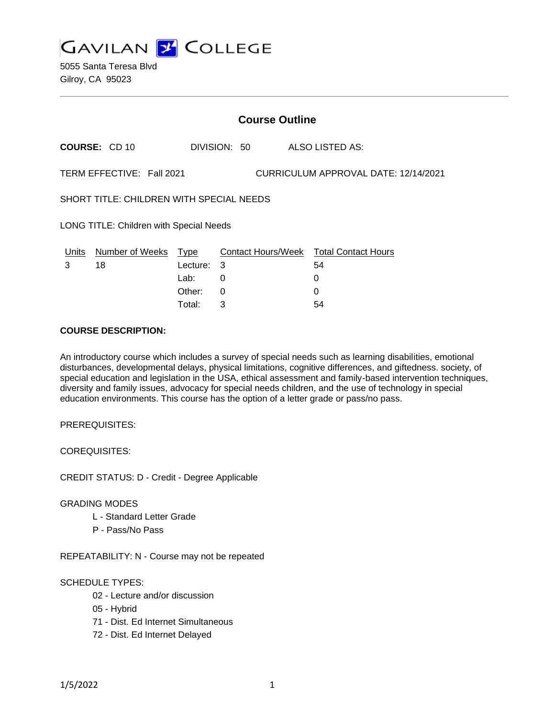

|                                                                   | COURSE: CD 10         |                  | DIVISION: 50 |  | ALSO LISTED AS:                              |  |
|-------------------------------------------------------------------|-----------------------|------------------|--------------|--|----------------------------------------------|--|
| TERM EFFECTIVE: Fall 2021<br>CURRICULUM APPROVAL DATE: 12/14/2021 |                       |                  |              |  |                                              |  |
| SHORT TITLE: CHILDREN WITH SPECIAL NEEDS                          |                       |                  |              |  |                                              |  |
| <b>LONG TITLE: Children with Special Needs</b>                    |                       |                  |              |  |                                              |  |
| Units<br>3                                                        | Number of Weeks<br>18 | Type<br>Lecture: | 3            |  | Contact Hours/Week Total Contact Hours<br>54 |  |
|                                                                   |                       | Lab:             | 0            |  | 0                                            |  |

Other: 0 0 Total: 3 54

**Course Outline**

### **COURSE DESCRIPTION:**

An introductory course which includes a survey of special needs such as learning disabilities, emotional disturbances, developmental delays, physical limitations, cognitive differences, and giftedness. society, of special education and legislation in the USA, ethical assessment and family-based intervention techniques, diversity and family issues, advocacy for special needs children, and the use of technology in special education environments. This course has the option of a letter grade or pass/no pass.

PREREQUISITES:

COREQUISITES:

CREDIT STATUS: D - Credit - Degree Applicable

#### GRADING MODES

- L Standard Letter Grade
- P Pass/No Pass

REPEATABILITY: N - Course may not be repeated

#### SCHEDULE TYPES:

- 02 Lecture and/or discussion
- 05 Hybrid
- 71 Dist. Ed Internet Simultaneous
- 72 Dist. Ed Internet Delayed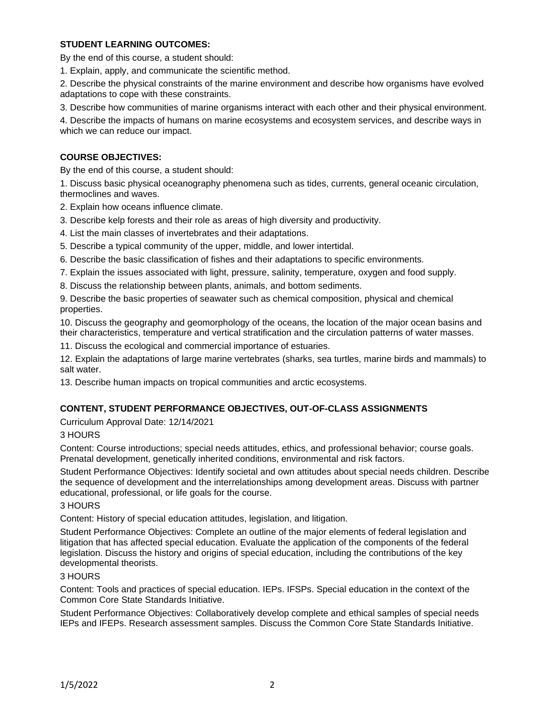# **STUDENT LEARNING OUTCOMES:**

By the end of this course, a student should:

1. Explain, apply, and communicate the scientific method.

2. Describe the physical constraints of the marine environment and describe how organisms have evolved adaptations to cope with these constraints.

3. Describe how communities of marine organisms interact with each other and their physical environment.

4. Describe the impacts of humans on marine ecosystems and ecosystem services, and describe ways in which we can reduce our impact.

# **COURSE OBJECTIVES:**

By the end of this course, a student should:

1. Discuss basic physical oceanography phenomena such as tides, currents, general oceanic circulation, thermoclines and waves.

2. Explain how oceans influence climate.

- 3. Describe kelp forests and their role as areas of high diversity and productivity.
- 4. List the main classes of invertebrates and their adaptations.
- 5. Describe a typical community of the upper, middle, and lower intertidal.
- 6. Describe the basic classification of fishes and their adaptations to specific environments.
- 7. Explain the issues associated with light, pressure, salinity, temperature, oxygen and food supply.
- 8. Discuss the relationship between plants, animals, and bottom sediments.

9. Describe the basic properties of seawater such as chemical composition, physical and chemical properties.

10. Discuss the geography and geomorphology of the oceans, the location of the major ocean basins and their characteristics, temperature and vertical stratification and the circulation patterns of water masses.

11. Discuss the ecological and commercial importance of estuaries.

12. Explain the adaptations of large marine vertebrates (sharks, sea turtles, marine birds and mammals) to salt water.

13. Describe human impacts on tropical communities and arctic ecosystems.

## **CONTENT, STUDENT PERFORMANCE OBJECTIVES, OUT-OF-CLASS ASSIGNMENTS**

Curriculum Approval Date: 12/14/2021

## 3 HOURS

Content: Course introductions; special needs attitudes, ethics, and professional behavior; course goals. Prenatal development, genetically inherited conditions, environmental and risk factors.

Student Performance Objectives: Identify societal and own attitudes about special needs children. Describe the sequence of development and the interrelationships among development areas. Discuss with partner educational, professional, or life goals for the course.

## 3 HOURS

Content: History of special education attitudes, legislation, and litigation.

Student Performance Objectives: Complete an outline of the major elements of federal legislation and litigation that has affected special education. Evaluate the application of the components of the federal legislation. Discuss the history and origins of special education, including the contributions of the key developmental theorists.

## 3 HOURS

Content: Tools and practices of special education. IEPs. IFSPs. Special education in the context of the Common Core State Standards Initiative.

Student Performance Objectives: Collaboratively develop complete and ethical samples of special needs IEPs and IFEPs. Research assessment samples. Discuss the Common Core State Standards Initiative.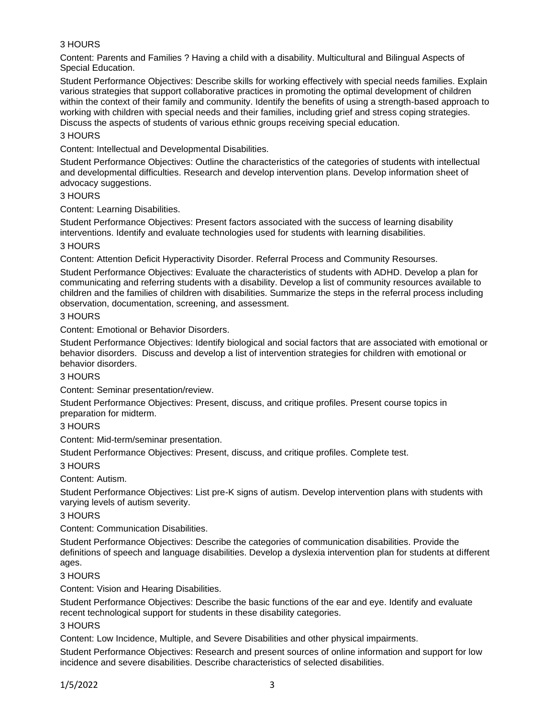# 3 HOURS

Content: Parents and Families ? Having a child with a disability. Multicultural and Bilingual Aspects of Special Education.

Student Performance Objectives: Describe skills for working effectively with special needs families. Explain various strategies that support collaborative practices in promoting the optimal development of children within the context of their family and community. Identify the benefits of using a strength-based approach to working with children with special needs and their families, including grief and stress coping strategies. Discuss the aspects of students of various ethnic groups receiving special education.

### 3 HOURS

Content: Intellectual and Developmental Disabilities.

Student Performance Objectives: Outline the characteristics of the categories of students with intellectual and developmental difficulties. Research and develop intervention plans. Develop information sheet of advocacy suggestions.

#### 3 HOURS

Content: Learning Disabilities.

Student Performance Objectives: Present factors associated with the success of learning disability interventions. Identify and evaluate technologies used for students with learning disabilities.

### 3 HOURS

Content: Attention Deficit Hyperactivity Disorder. Referral Process and Community Resourses.

Student Performance Objectives: Evaluate the characteristics of students with ADHD. Develop a plan for communicating and referring students with a disability. Develop a list of community resources available to children and the families of children with disabilities. Summarize the steps in the referral process including observation, documentation, screening, and assessment.

### 3 HOURS

Content: Emotional or Behavior Disorders.

Student Performance Objectives: Identify biological and social factors that are associated with emotional or behavior disorders. Discuss and develop a list of intervention strategies for children with emotional or behavior disorders.

#### 3 HOURS

Content: Seminar presentation/review.

Student Performance Objectives: Present, discuss, and critique profiles. Present course topics in preparation for midterm.

## 3 HOURS

Content: Mid-term/seminar presentation.

Student Performance Objectives: Present, discuss, and critique profiles. Complete test.

#### 3 HOURS

Content: Autism.

Student Performance Objectives: List pre-K signs of autism. Develop intervention plans with students with varying levels of autism severity.

3 HOURS

Content: Communication Disabilities.

Student Performance Objectives: Describe the categories of communication disabilities. Provide the definitions of speech and language disabilities. Develop a dyslexia intervention plan for students at different ages.

## 3 HOURS

Content: Vision and Hearing Disabilities.

Student Performance Objectives: Describe the basic functions of the ear and eye. Identify and evaluate recent technological support for students in these disability categories.

#### 3 HOURS

Content: Low Incidence, Multiple, and Severe Disabilities and other physical impairments.

Student Performance Objectives: Research and present sources of online information and support for low incidence and severe disabilities. Describe characteristics of selected disabilities.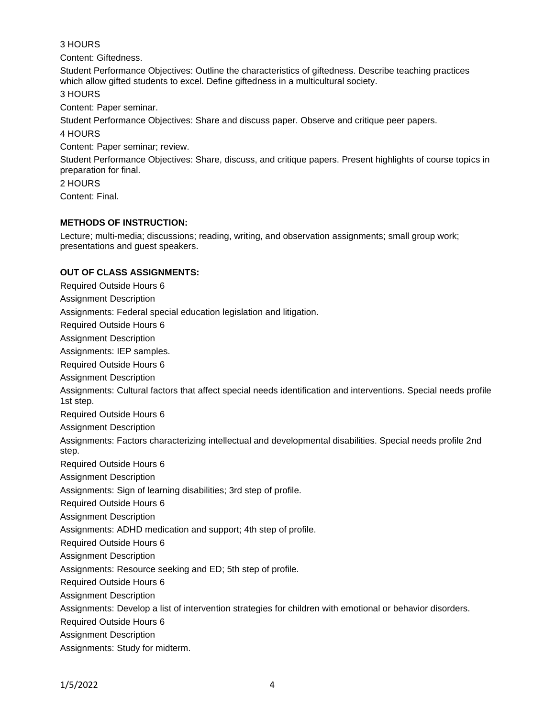## 3 HOURS

Content: Giftedness.

Student Performance Objectives: Outline the characteristics of giftedness. Describe teaching practices which allow gifted students to excel. Define giftedness in a multicultural society.

3 HOURS

Content: Paper seminar.

Student Performance Objectives: Share and discuss paper. Observe and critique peer papers.

### 4 HOURS

Content: Paper seminar; review.

Student Performance Objectives: Share, discuss, and critique papers. Present highlights of course topics in preparation for final.

2 HOURS

Content: Final.

# **METHODS OF INSTRUCTION:**

Lecture; multi-media; discussions; reading, writing, and observation assignments; small group work; presentations and guest speakers.

## **OUT OF CLASS ASSIGNMENTS:**

Required Outside Hours 6 Assignment Description Assignments: Federal special education legislation and litigation. Required Outside Hours 6 Assignment Description Assignments: IEP samples. Required Outside Hours 6 Assignment Description Assignments: Cultural factors that affect special needs identification and interventions. Special needs profile 1st step. Required Outside Hours 6 Assignment Description Assignments: Factors characterizing intellectual and developmental disabilities. Special needs profile 2nd step. Required Outside Hours 6 Assignment Description Assignments: Sign of learning disabilities; 3rd step of profile. Required Outside Hours 6 Assignment Description Assignments: ADHD medication and support; 4th step of profile. Required Outside Hours 6 Assignment Description Assignments: Resource seeking and ED; 5th step of profile. Required Outside Hours 6 Assignment Description Assignments: Develop a list of intervention strategies for children with emotional or behavior disorders. Required Outside Hours 6 Assignment Description Assignments: Study for midterm.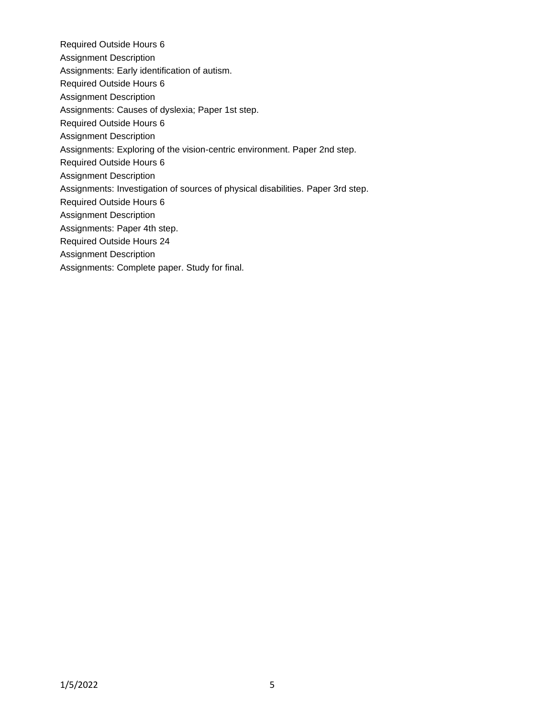- Required Outside Hours 6
- Assignment Description
- Assignments: Early identification of autism.
- Required Outside Hours 6
- Assignment Description
- Assignments: Causes of dyslexia; Paper 1st step.
- Required Outside Hours 6
- Assignment Description
- Assignments: Exploring of the vision-centric environment. Paper 2nd step.
- Required Outside Hours 6
- Assignment Description
- Assignments: Investigation of sources of physical disabilities. Paper 3rd step.
- Required Outside Hours 6
- Assignment Description
- Assignments: Paper 4th step.
- Required Outside Hours 24
- Assignment Description
- Assignments: Complete paper. Study for final.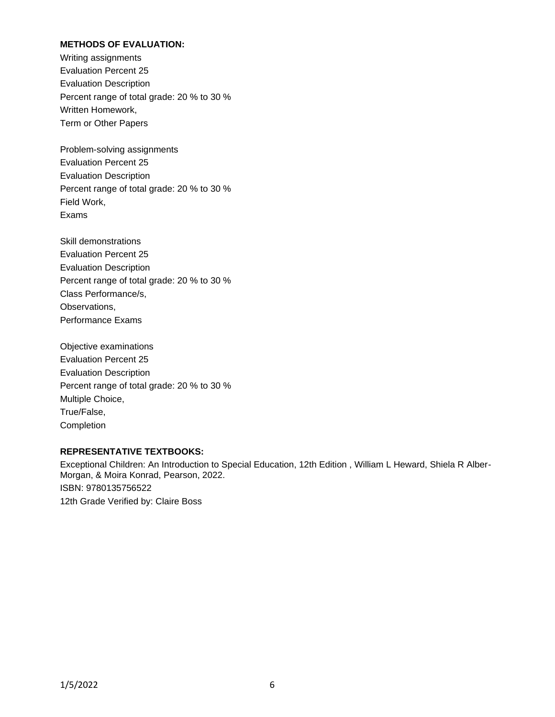# **METHODS OF EVALUATION:**

Writing assignments Evaluation Percent 25 Evaluation Description Percent range of total grade: 20 % to 30 % Written Homework, Term or Other Papers

Problem-solving assignments Evaluation Percent 25 Evaluation Description Percent range of total grade: 20 % to 30 % Field Work, Exams

Skill demonstrations Evaluation Percent 25 Evaluation Description Percent range of total grade: 20 % to 30 % Class Performance/s, Observations, Performance Exams

Objective examinations Evaluation Percent 25 Evaluation Description Percent range of total grade: 20 % to 30 % Multiple Choice, True/False, **Completion** 

#### **REPRESENTATIVE TEXTBOOKS:**

Exceptional Children: An Introduction to Special Education, 12th Edition , William L Heward, Shiela R Alber-Morgan, & Moira Konrad, Pearson, 2022. ISBN: 9780135756522 12th Grade Verified by: Claire Boss